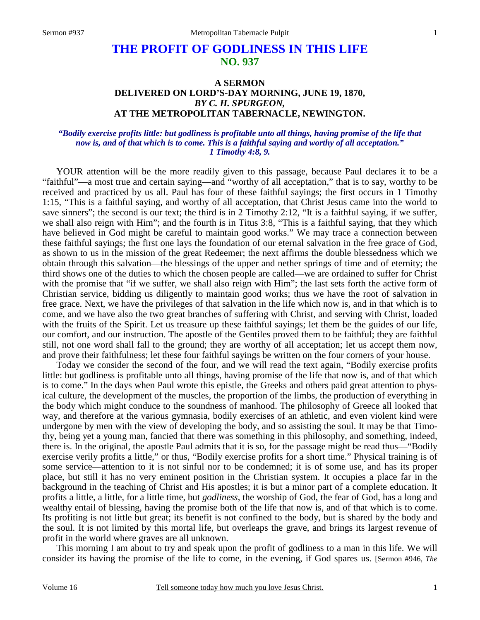# **THE PROFIT OF GODLINESS IN THIS LIFE NO. 937**

## **A SERMON DELIVERED ON LORD'S-DAY MORNING, JUNE 19, 1870,**  *BY C. H. SPURGEON,*  **AT THE METROPOLITAN TABERNACLE, NEWINGTON.**

### *"Bodily exercise profits little: but godliness is profitable unto all things, having promise of the life that now is, and of that which is to come. This is a faithful saying and worthy of all acceptation." 1 Timothy 4:8, 9.*

YOUR attention will be the more readily given to this passage, because Paul declares it to be a "faithful"—a most true and certain saying—and "worthy of all acceptation," that is to say, worthy to be received and practiced by us all. Paul has four of these faithful sayings; the first occurs in 1 Timothy 1:15, "This is a faithful saying, and worthy of all acceptation, that Christ Jesus came into the world to save sinners"; the second is our text; the third is in 2 Timothy 2:12, "It is a faithful saying, if we suffer, we shall also reign with Him"; and the fourth is in Titus 3:8, "This is a faithful saying, that they which have believed in God might be careful to maintain good works." We may trace a connection between these faithful sayings; the first one lays the foundation of our eternal salvation in the free grace of God, as shown to us in the mission of the great Redeemer; the next affirms the double blessedness which we obtain through this salvation—the blessings of the upper and nether springs of time and of eternity; the third shows one of the duties to which the chosen people are called—we are ordained to suffer for Christ with the promise that "if we suffer, we shall also reign with Him"; the last sets forth the active form of Christian service, bidding us diligently to maintain good works; thus we have the root of salvation in free grace. Next, we have the privileges of that salvation in the life which now is, and in that which is to come, and we have also the two great branches of suffering with Christ, and serving with Christ, loaded with the fruits of the Spirit. Let us treasure up these faithful sayings; let them be the guides of our life, our comfort, and our instruction. The apostle of the Gentiles proved them to be faithful; they are faithful still, not one word shall fall to the ground; they are worthy of all acceptation; let us accept them now, and prove their faithfulness; let these four faithful sayings be written on the four corners of your house.

Today we consider the second of the four, and we will read the text again, "Bodily exercise profits little: but godliness is profitable unto all things, having promise of the life that now is, and of that which is to come." In the days when Paul wrote this epistle, the Greeks and others paid great attention to physical culture, the development of the muscles, the proportion of the limbs, the production of everything in the body which might conduce to the soundness of manhood. The philosophy of Greece all looked that way, and therefore at the various gymnasia, bodily exercises of an athletic, and even violent kind were undergone by men with the view of developing the body, and so assisting the soul. It may be that Timothy, being yet a young man, fancied that there was something in this philosophy, and something, indeed, there is. In the original, the apostle Paul admits that it is so, for the passage might be read thus—"Bodily exercise verily profits a little," or thus, "Bodily exercise profits for a short time." Physical training is of some service—attention to it is not sinful nor to be condemned; it is of some use, and has its proper place, but still it has no very eminent position in the Christian system. It occupies a place far in the background in the teaching of Christ and His apostles; it is but a minor part of a complete education. It profits a little, a little, for a little time, but *godliness*, the worship of God, the fear of God, has a long and wealthy entail of blessing, having the promise both of the life that now is, and of that which is to come. Its profiting is not little but great; its benefit is not confined to the body, but is shared by the body and the soul. It is not limited by this mortal life, but overleaps the grave, and brings its largest revenue of profit in the world where graves are all unknown.

This morning I am about to try and speak upon the profit of godliness to a man in this life. We will consider its having the promise of the life to come, in the evening, if God spares us. [Sermon #946, *The*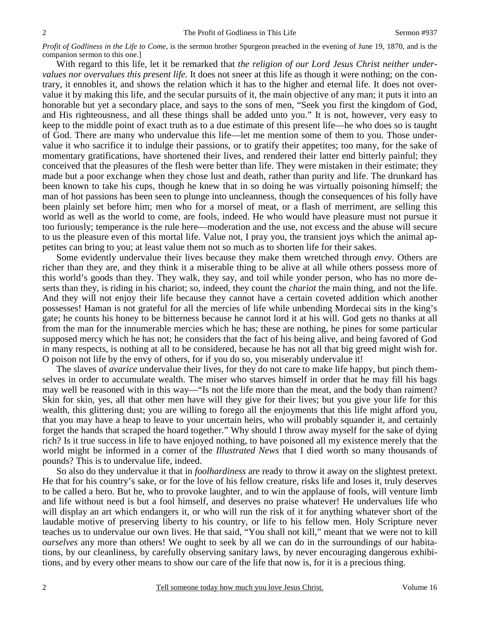*Profit of Godliness in the Life to Come*, is the sermon brother Spurgeon preached in the evening of June 19, 1870, and is the companion sermon to this one.]

With regard to this life, let it be remarked that *the religion of our Lord Jesus Christ neither undervalues nor overvalues this present life.* It does not sneer at this life as though it were nothing; on the contrary, it ennobles it, and shows the relation which it has to the higher and eternal life. It does not overvalue it by making this life, and the secular pursuits of it, the main objective of any man; it puts it into an honorable but yet a secondary place, and says to the sons of men, "Seek you first the kingdom of God, and His righteousness, and all these things shall be added unto you." It is not, however, very easy to keep to the middle point of exact truth as to a due estimate of this present life—he who does so is taught of God. There are many who undervalue this life—let me mention some of them to you. Those undervalue it who sacrifice it to indulge their passions, or to gratify their appetites; too many, for the sake of momentary gratifications, have shortened their lives, and rendered their latter end bitterly painful; they conceived that the pleasures of the flesh were better than life. They were mistaken in their estimate; they made but a poor exchange when they chose lust and death, rather than purity and life. The drunkard has been known to take his cups, though he knew that in so doing he was virtually poisoning himself; the man of hot passions has been seen to plunge into uncleanness, though the consequences of his folly have been plainly set before him; men who for a morsel of meat, or a flash of merriment, are selling this world as well as the world to come, are fools, indeed. He who would have pleasure must not pursue it too furiously; temperance is the rule here—moderation and the use, not excess and the abuse will secure to us the pleasure even of this mortal life. Value not, I pray you, the transient joys which the animal appetites can bring to you; at least value them not so much as to shorten life for their sakes.

Some evidently undervalue their lives because they make them wretched through *envy*. Others are richer than they are, and they think it a miserable thing to be alive at all while others possess more of this world's goods than they. They walk, they say, and toil while yonder person, who has no more deserts than they, is riding in his chariot; so, indeed, they count the *chariot* the main thing, and not the life. And they will not enjoy their life because they cannot have a certain coveted addition which another possesses! Haman is not grateful for all the mercies of life while unbending Mordecai sits in the king's gate; he counts his honey to be bitterness because he cannot lord it at his will. God gets no thanks at all from the man for the innumerable mercies which he has; these are nothing, he pines for some particular supposed mercy which he has not; he considers that the fact of his being alive, and being favored of God in many respects, is nothing at all to be considered, because he has not all that big greed might wish for. O poison not life by the envy of others, for if you do so, you miserably undervalue it!

The slaves of *avarice* undervalue their lives, for they do not care to make life happy, but pinch themselves in order to accumulate wealth. The miser who starves himself in order that he may fill his bags may well be reasoned with in this way—"Is not the life more than the meat, and the body than raiment? Skin for skin, yes, all that other men have will they give for their lives; but you give your life for this wealth, this glittering dust; you are willing to forego all the enjoyments that this life might afford you, that you may have a heap to leave to your uncertain heirs, who will probably squander it, and certainly forget the hands that scraped the hoard together." Why should I throw away myself for the sake of dying rich? Is it true success in life to have enjoyed nothing, to have poisoned all my existence merely that the world might be informed in a corner of the *Illustrated News* that I died worth so many thousands of pounds? This is to undervalue life, indeed.

So also do they undervalue it that in *foolhardiness* are ready to throw it away on the slightest pretext. He that for his country's sake, or for the love of his fellow creature, risks life and loses it, truly deserves to be called a hero. But he, who to provoke laughter, and to win the applause of fools, will venture limb and life without need is but a fool himself, and deserves no praise whatever! He undervalues life who will display an art which endangers it, or who will run the risk of it for anything whatever short of the laudable motive of preserving liberty to his country, or life to his fellow men. Holy Scripture never teaches us to undervalue our own lives. He that said, "You shall not kill," meant that we were not to kill *ourselves* any more than others! We ought to seek by all we can do in the surroundings of our habitations, by our cleanliness, by carefully observing sanitary laws, by never encouraging dangerous exhibitions, and by every other means to show our care of the life that now is, for it is a precious thing.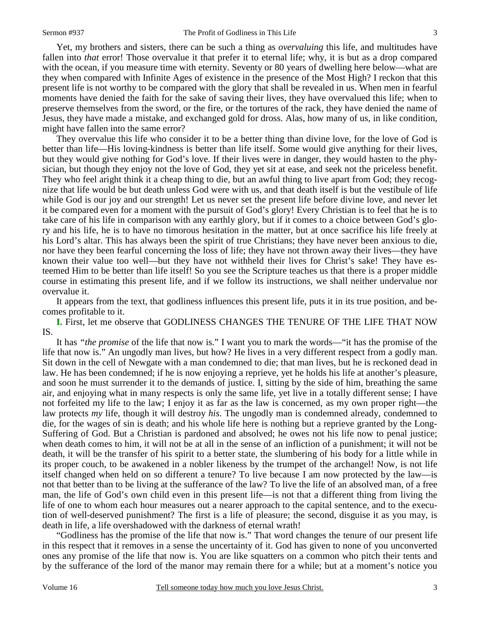Yet, my brothers and sisters, there can be such a thing as *overvaluing* this life, and multitudes have fallen into *that* error! Those overvalue it that prefer it to eternal life; why, it is but as a drop compared with the ocean, if you measure time with eternity. Seventy or 80 years of dwelling here below—what are they when compared with Infinite Ages of existence in the presence of the Most High? I reckon that this present life is not worthy to be compared with the glory that shall be revealed in us. When men in fearful moments have denied the faith for the sake of saving their lives, they have overvalued this life; when to preserve themselves from the sword, or the fire, or the tortures of the rack, they have denied the name of Jesus, they have made a mistake, and exchanged gold for dross. Alas, how many of us, in like condition, might have fallen into the same error?

They overvalue this life who consider it to be a better thing than divine love, for the love of God is better than life—His loving-kindness is better than life itself. Some would give anything for their lives, but they would give nothing for God's love. If their lives were in danger, they would hasten to the physician, but though they enjoy not the love of God, they yet sit at ease, and seek not the priceless benefit. They who feel aright think it a cheap thing to die, but an awful thing to live apart from God; they recognize that life would be but death unless God were with us, and that death itself is but the vestibule of life while God is our joy and our strength! Let us never set the present life before divine love, and never let it be compared even for a moment with the pursuit of God's glory! Every Christian is to feel that he is to take care of his life in comparison with any earthly glory, but if it comes to a choice between God's glory and his life, he is to have no timorous hesitation in the matter, but at once sacrifice his life freely at his Lord's altar. This has always been the spirit of true Christians; they have never been anxious to die, nor have they been fearful concerning the loss of life; they have not thrown away their lives—they have known their value too well—but they have not withheld their lives for Christ's sake! They have esteemed Him to be better than life itself! So you see the Scripture teaches us that there is a proper middle course in estimating this present life, and if we follow its instructions, we shall neither undervalue nor overvalue it.

It appears from the text, that godliness influences this present life, puts it in its true position, and becomes profitable to it.

**I.** First, let me observe that GODLINESS CHANGES THE TENURE OF THE LIFE THAT NOW IS.

It has *"the promise* of the life that now is." I want you to mark the words—"it has the promise of the life that now is." An ungodly man lives, but how? He lives in a very different respect from a godly man. Sit down in the cell of Newgate with a man condemned to die; that man lives, but he is reckoned dead in law. He has been condemned; if he is now enjoying a reprieve, yet he holds his life at another's pleasure, and soon he must surrender it to the demands of justice. I, sitting by the side of him, breathing the same air, and enjoying what in many respects is only the same life, yet live in a totally different sense; I have not forfeited my life to the law; I enjoy it as far as the law is concerned, as my own proper right—the law protects *my* life, though it will destroy *his*. The ungodly man is condemned already, condemned to die, for the wages of sin is death; and his whole life here is nothing but a reprieve granted by the Long-Suffering of God. But a Christian is pardoned and absolved; he owes not his life now to penal justice; when death comes to him, it will not be at all in the sense of an infliction of a punishment; it will not be death, it will be the transfer of his spirit to a better state, the slumbering of his body for a little while in its proper couch, to be awakened in a nobler likeness by the trumpet of the archangel! Now, is not life itself changed when held on so different a tenure? To live because I am now protected by the law—is not that better than to be living at the sufferance of the law? To live the life of an absolved man, of a free man, the life of God's own child even in this present life—is not that a different thing from living the life of one to whom each hour measures out a nearer approach to the capital sentence, and to the execution of well-deserved punishment? The first is a life of pleasure; the second, disguise it as you may, is death in life, a life overshadowed with the darkness of eternal wrath!

"Godliness has the promise of the life that now is." That word changes the tenure of our present life in this respect that it removes in a sense the uncertainty of it. God has given to none of you unconverted ones any promise of the life that now is. You are like squatters on a common who pitch their tents and by the sufferance of the lord of the manor may remain there for a while; but at a moment's notice you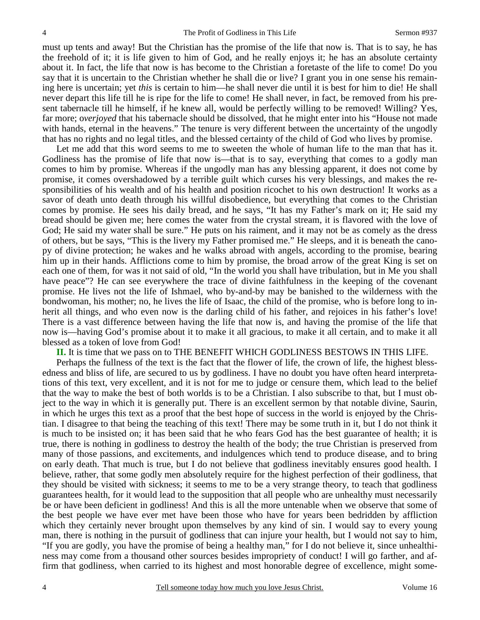must up tents and away! But the Christian has the promise of the life that now is. That is to say, he has the freehold of it; it is life given to him of God, and he really enjoys it; he has an absolute certainty about it. In fact, the life that now is has become to the Christian a foretaste of the life to come! Do you say that it is uncertain to the Christian whether he shall die or live? I grant you in one sense his remaining here is uncertain; yet *this* is certain to him—he shall never die until it is best for him to die! He shall never depart this life till he is ripe for the life to come! He shall never, in fact, be removed from his present tabernacle till he himself, if he knew all, would be perfectly willing to be removed! Willing? Yes, far more; o*verjoyed* that his tabernacle should be dissolved, that he might enter into his "House not made with hands, eternal in the heavens." The tenure is very different between the uncertainty of the ungodly that has no rights and no legal titles, and the blessed certainty of the child of God who lives by promise.

Let me add that this word seems to me to sweeten the whole of human life to the man that has it. Godliness has the promise of life that now is—that is to say, everything that comes to a godly man comes to him by promise. Whereas if the ungodly man has any blessing apparent, it does not come by promise, it comes overshadowed by a terrible guilt which curses his very blessings, and makes the responsibilities of his wealth and of his health and position ricochet to his own destruction! It works as a savor of death unto death through his willful disobedience, but everything that comes to the Christian comes by promise. He sees his daily bread, and he says, "It has my Father's mark on it; He said my bread should be given me; here comes the water from the crystal stream, it is flavored with the love of God; He said my water shall be sure." He puts on his raiment, and it may not be as comely as the dress of others, but be says, "This is the livery my Father promised me." He sleeps, and it is beneath the canopy of divine protection; he wakes and he walks abroad with angels, according to the promise, bearing him up in their hands. Afflictions come to him by promise, the broad arrow of the great King is set on each one of them, for was it not said of old, "In the world you shall have tribulation, but in Me you shall have peace"? He can see everywhere the trace of divine faithfulness in the keeping of the covenant promise. He lives not the life of Ishmael, who by-and-by may be banished to the wilderness with the bondwoman, his mother; no, he lives the life of Isaac, the child of the promise, who is before long to inherit all things, and who even now is the darling child of his father, and rejoices in his father's love! There is a vast difference between having the life that now is, and having the promise of the life that now is—having God's promise about it to make it all gracious, to make it all certain, and to make it all blessed as a token of love from God!

**II.** It is time that we pass on to THE BENEFIT WHICH GODLINESS BESTOWS IN THIS LIFE.

Perhaps the fullness of the text is the fact that the flower of life, the crown of life, the highest blessedness and bliss of life, are secured to us by godliness. I have no doubt you have often heard interpretations of this text, very excellent, and it is not for me to judge or censure them, which lead to the belief that the way to make the best of both worlds is to be a Christian. I also subscribe to that, but I must object to the way in which it is generally put. There is an excellent sermon by that notable divine, Saurin, in which he urges this text as a proof that the best hope of success in the world is enjoyed by the Christian. I disagree to that being the teaching of this text! There may be some truth in it, but I do not think it is much to be insisted on; it has been said that he who fears God has the best guarantee of health; it is true, there is nothing in godliness to destroy the health of the body; the true Christian is preserved from many of those passions, and excitements, and indulgences which tend to produce disease, and to bring on early death. That much is true, but I do not believe that godliness inevitably ensures good health. I believe, rather, that some godly men absolutely require for the highest perfection of their godliness, that they should be visited with sickness; it seems to me to be a very strange theory, to teach that godliness guarantees health, for it would lead to the supposition that all people who are unhealthy must necessarily be or have been deficient in godliness! And this is all the more untenable when we observe that some of the best people we have ever met have been those who have for years been bedridden by affliction which they certainly never brought upon themselves by any kind of sin. I would say to every young man, there is nothing in the pursuit of godliness that can injure your health, but I would not say to him, "If you are godly, you have the promise of being a healthy man," for I do not believe it, since unhealthiness may come from a thousand other sources besides impropriety of conduct! I will go farther, and affirm that godliness, when carried to its highest and most honorable degree of excellence, might some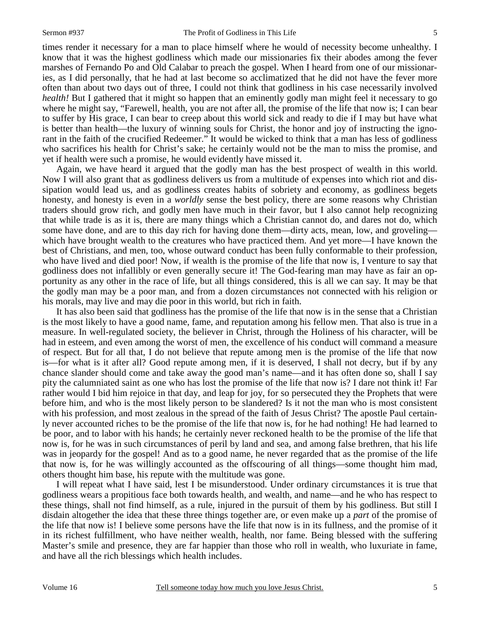times render it necessary for a man to place himself where he would of necessity become unhealthy. I know that it was the highest godliness which made our missionaries fix their abodes among the fever marshes of Fernando Po and Old Calabar to preach the gospel. When I heard from one of our missionaries, as I did personally, that he had at last become so acclimatized that he did not have the fever more often than about two days out of three, I could not think that godliness in his case necessarily involved *health!* But I gathered that it might so happen that an eminently godly man might feel it necessary to go where he might say, "Farewell, health, you are not after all, the promise of the life that now is; I can bear to suffer by His grace, I can bear to creep about this world sick and ready to die if I may but have what is better than health—the luxury of winning souls for Christ, the honor and joy of instructing the ignorant in the faith of the crucified Redeemer." It would be wicked to think that a man has less of godliness who sacrifices his health for Christ's sake; he certainly would not be the man to miss the promise, and yet if health were such a promise, he would evidently have missed it.

Again, we have heard it argued that the godly man has the best prospect of wealth in this world. Now I will also grant that as godliness delivers us from a multitude of expenses into which riot and dissipation would lead us, and as godliness creates habits of sobriety and economy, as godliness begets honesty, and honesty is even in a *worldly* sense the best policy, there are some reasons why Christian traders should grow rich, and godly men have much in their favor, but I also cannot help recognizing that while trade is as it is, there are many things which a Christian cannot do, and dares not do, which some have done, and are to this day rich for having done them—dirty acts, mean, low, and groveling which have brought wealth to the creatures who have practiced them. And yet more—I have known the best of Christians, and men, too, whose outward conduct has been fully conformable to their profession, who have lived and died poor! Now, if wealth is the promise of the life that now is, I venture to say that godliness does not infallibly or even generally secure it! The God-fearing man may have as fair an opportunity as any other in the race of life, but all things considered, this is all we can say. It may be that the godly man may be a poor man, and from a dozen circumstances not connected with his religion or his morals, may live and may die poor in this world, but rich in faith.

It has also been said that godliness has the promise of the life that now is in the sense that a Christian is the most likely to have a good name, fame, and reputation among his fellow men. That also is true in a measure. In well-regulated society, the believer in Christ, through the Holiness of his character, will be had in esteem, and even among the worst of men, the excellence of his conduct will command a measure of respect. But for all that, I do not believe that repute among men is the promise of the life that now is—for what is it after all? Good repute among men, if it is deserved, I shall not decry, but if by any chance slander should come and take away the good man's name—and it has often done so, shall I say pity the calumniated saint as one who has lost the promise of the life that now is? I dare not think it! Far rather would I bid him rejoice in that day, and leap for joy, for so persecuted they the Prophets that were before him, and who is the most likely person to be slandered? Is it not the man who is most consistent with his profession, and most zealous in the spread of the faith of Jesus Christ? The apostle Paul certainly never accounted riches to be the promise of the life that now is, for he had nothing! He had learned to be poor, and to labor with his hands; he certainly never reckoned health to be the promise of the life that now is, for he was in such circumstances of peril by land and sea, and among false brethren, that his life was in jeopardy for the gospel! And as to a good name, he never regarded that as the promise of the life that now is, for he was willingly accounted as the offscouring of all things—some thought him mad, others thought him base, his repute with the multitude was gone.

I will repeat what I have said, lest I be misunderstood. Under ordinary circumstances it is true that godliness wears a propitious face both towards health, and wealth, and name—and he who has respect to these things, shall not find himself, as a rule, injured in the pursuit of them by his godliness. But still I disdain altogether the idea that these three things together are, or even make up a *part* of the promise of the life that now is! I believe some persons have the life that now is in its fullness, and the promise of it in its richest fulfillment, who have neither wealth, health, nor fame. Being blessed with the suffering Master's smile and presence, they are far happier than those who roll in wealth, who luxuriate in fame, and have all the rich blessings which health includes.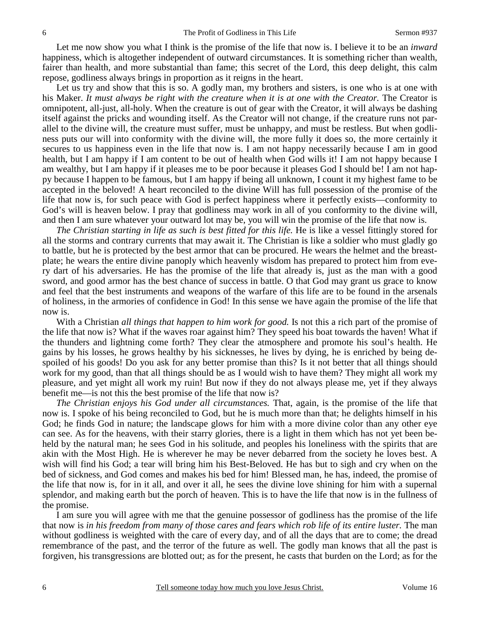Let me now show you what I think is the promise of the life that now is. I believe it to be an *inward* happiness, which is altogether independent of outward circumstances. It is something richer than wealth, fairer than health, and more substantial than fame; this secret of the Lord, this deep delight, this calm repose, godliness always brings in proportion as it reigns in the heart.

Let us try and show that this is so. A godly man, my brothers and sisters, is one who is at one with his Maker. *It must always be right with the creature when it is at one with the Creator.* The Creator is omnipotent, all-just, all-holy. When the creature is out of gear with the Creator, it will always be dashing itself against the pricks and wounding itself. As the Creator will not change, if the creature runs not parallel to the divine will, the creature must suffer, must be unhappy, and must be restless. But when godliness puts our will into conformity with the divine will, the more fully it does so, the more certainly it secures to us happiness even in the life that now is. I am not happy necessarily because I am in good health, but I am happy if I am content to be out of health when God wills it! I am not happy because I am wealthy, but I am happy if it pleases me to be poor because it pleases God I should be! I am not happy because I happen to be famous, but I am happy if being all unknown, I count it my highest fame to be accepted in the beloved! A heart reconciled to the divine Will has full possession of the promise of the life that now is, for such peace with God is perfect happiness where it perfectly exists—conformity to God's will is heaven below. I pray that godliness may work in all of you conformity to the divine will, and then I am sure whatever your outward lot may be, you will win the promise of the life that now is.

*The Christian starting in life as such is best fitted for this life.* He is like a vessel fittingly stored for all the storms and contrary currents that may await it. The Christian is like a soldier who must gladly go to battle, but he is protected by the best armor that can be procured. He wears the helmet and the breastplate; he wears the entire divine panoply which heavenly wisdom has prepared to protect him from every dart of his adversaries. He has the promise of the life that already is, just as the man with a good sword, and good armor has the best chance of success in battle. O that God may grant us grace to know and feel that the best instruments and weapons of the warfare of this life are to be found in the arsenals of holiness, in the armories of confidence in God! In this sense we have again the promise of the life that now is.

With a Christian *all things that happen to him work for good.* Is not this a rich part of the promise of the life that now is? What if the waves roar against him? They speed his boat towards the haven! What if the thunders and lightning come forth? They clear the atmosphere and promote his soul's health. He gains by his losses, he grows healthy by his sicknesses, he lives by dying, he is enriched by being despoiled of his goods! Do you ask for any better promise than this? Is it not better that all things should work for my good, than that all things should be as I would wish to have them? They might all work my pleasure, and yet might all work my ruin! But now if they do not always please me, yet if they always benefit me—is not this the best promise of the life that now is?

*The Christian enjoys his God under all circumstances.* That, again, is the promise of the life that now is. I spoke of his being reconciled to God, but he is much more than that; he delights himself in his God; he finds God in nature; the landscape glows for him with a more divine color than any other eye can see. As for the heavens, with their starry glories, there is a light in them which has not yet been beheld by the natural man; he sees God in his solitude, and peoples his loneliness with the spirits that are akin with the Most High. He is wherever he may be never debarred from the society he loves best. A wish will find his God; a tear will bring him his Best-Beloved. He has but to sigh and cry when on the bed of sickness, and God comes and makes his bed for him! Blessed man, he has, indeed, the promise of the life that now is, for in it all, and over it all, he sees the divine love shining for him with a supernal splendor, and making earth but the porch of heaven. This is to have the life that now is in the fullness of the promise.

I am sure you will agree with me that the genuine possessor of godliness has the promise of the life that now is *in his freedom from many of those cares and fears which rob life of its entire luster.* The man without godliness is weighted with the care of every day, and of all the days that are to come; the dread remembrance of the past, and the terror of the future as well. The godly man knows that all the past is forgiven, his transgressions are blotted out; as for the present, he casts that burden on the Lord; as for the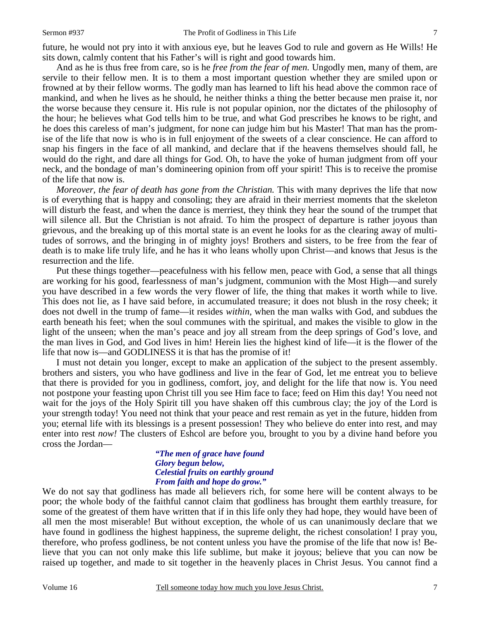future, he would not pry into it with anxious eye, but he leaves God to rule and govern as He Wills! He sits down, calmly content that his Father's will is right and good towards him.

And as he is thus free from care, so is he *free from the fear of men.* Ungodly men, many of them, are servile to their fellow men. It is to them a most important question whether they are smiled upon or frowned at by their fellow worms. The godly man has learned to lift his head above the common race of mankind, and when he lives as he should, he neither thinks a thing the better because men praise it, nor the worse because they censure it. His rule is not popular opinion, nor the dictates of the philosophy of the hour; he believes what God tells him to be true, and what God prescribes he knows to be right, and he does this careless of man's judgment, for none can judge him but his Master! That man has the promise of the life that now is who is in full enjoyment of the sweets of a clear conscience. He can afford to snap his fingers in the face of all mankind, and declare that if the heavens themselves should fall, he would do the right, and dare all things for God. Oh, to have the yoke of human judgment from off your neck, and the bondage of man's domineering opinion from off your spirit! This is to receive the promise of the life that now is.

*Moreover, the fear of death has gone from the Christian.* This with many deprives the life that now is of everything that is happy and consoling; they are afraid in their merriest moments that the skeleton will disturb the feast, and when the dance is merriest, they think they hear the sound of the trumpet that will silence all. But the Christian is not afraid. To him the prospect of departure is rather joyous than grievous, and the breaking up of this mortal state is an event he looks for as the clearing away of multitudes of sorrows, and the bringing in of mighty joys! Brothers and sisters, to be free from the fear of death is to make life truly life, and he has it who leans wholly upon Christ—and knows that Jesus is the resurrection and the life.

Put these things together—peacefulness with his fellow men, peace with God, a sense that all things are working for his good, fearlessness of man's judgment, communion with the Most High—and surely you have described in a few words the very flower of life, the thing that makes it worth while to live. This does not lie, as I have said before, in accumulated treasure; it does not blush in the rosy cheek; it does not dwell in the trump of fame—it resides *within*, when the man walks with God, and subdues the earth beneath his feet; when the soul communes with the spiritual, and makes the visible to glow in the light of the unseen; when the man's peace and joy all stream from the deep springs of God's love, and the man lives in God, and God lives in him! Herein lies the highest kind of life—it is the flower of the life that now is—and GODLINESS it is that has the promise of it!

I must not detain you longer, except to make an application of the subject to the present assembly. brothers and sisters, you who have godliness and live in the fear of God, let me entreat you to believe that there is provided for you in godliness, comfort, joy, and delight for the life that now is. You need not postpone your feasting upon Christ till you see Him face to face; feed on Him this day! You need not wait for the joys of the Holy Spirit till you have shaken off this cumbrous clay; the joy of the Lord is your strength today! You need not think that your peace and rest remain as yet in the future, hidden from you; eternal life with its blessings is a present possession! They who believe do enter into rest, and may enter into rest *now!* The clusters of Eshcol are before you, brought to you by a divine hand before you cross the Jordan—

### *"The men of grace have found Glory begun below, Celestial fruits on earthly ground From faith and hope do grow."*

We do not say that godliness has made all believers rich, for some here will be content always to be poor; the whole body of the faithful cannot claim that godliness has brought them earthly treasure, for some of the greatest of them have written that if in this life only they had hope, they would have been of all men the most miserable! But without exception, the whole of us can unanimously declare that we have found in godliness the highest happiness, the supreme delight, the richest consolation! I pray you, therefore, who profess godliness, be not content unless you have the promise of the life that now is! Believe that you can not only make this life sublime, but make it joyous; believe that you can now be raised up together, and made to sit together in the heavenly places in Christ Jesus. You cannot find a